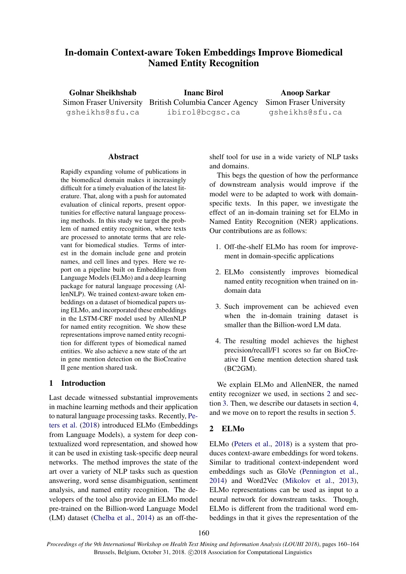# In-domain Context-aware Token Embeddings Improve Biomedical Named Entity Recognition

Golnar Sheikhshab gsheikhs@sfu.ca

Simon Fraser University British Columbia Cancer Agency Inanc Birol ibirol@bcgsc.ca

Anoop Sarkar Simon Fraser University gsheikhs@sfu.ca

## Abstract

Rapidly expanding volume of publications in the biomedical domain makes it increasingly difficult for a timely evaluation of the latest literature. That, along with a push for automated evaluation of clinical reports, present opportunities for effective natural language processing methods. In this study we target the problem of named entity recognition, where texts are processed to annotate terms that are relevant for biomedical studies. Terms of interest in the domain include gene and protein names, and cell lines and types. Here we report on a pipeline built on Embeddings from Language Models (ELMo) and a deep learning package for natural language processing (AllenNLP). We trained context-aware token embeddings on a dataset of biomedical papers using ELMo, and incorporated these embeddings in the LSTM-CRF model used by AllenNLP for named entity recognition. We show these representations improve named entity recognition for different types of biomedical named entities. We also achieve a new state of the art in gene mention detection on the BioCreative II gene mention shared task.

## 1 Introduction

Last decade witnessed substantial improvements in machine learning methods and their application to natural language processing tasks. Recently, [Pe](#page-4-0)[ters et al.](#page-4-0) [\(2018\)](#page-4-0) introduced ELMo (Embeddings from Language Models), a system for deep contextualized word representation, and showed how it can be used in existing task-specific deep neural networks. The method improves the state of the art over a variety of NLP tasks such as question answering, word sense disambiguation, sentiment analysis, and named entity recognition. The developers of the tool also provide an ELMo model pre-trained on the Billion-word Language Model (LM) dataset [\(Chelba et al.,](#page-4-1) [2014\)](#page-4-1) as an off-theshelf tool for use in a wide variety of NLP tasks and domains.

This begs the question of how the performance of downstream analysis would improve if the model were to be adapted to work with domainspecific texts. In this paper, we investigate the effect of an in-domain training set for ELMo in Named Entity Recognition (NER) applications. Our contributions are as follows:

- 1. Off-the-shelf ELMo has room for improvement in domain-specific applications
- 2. ELMo consistently improves biomedical named entity recognition when trained on indomain data
- 3. Such improvement can be achieved even when the in-domain training dataset is smaller than the Billion-word LM data.
- 4. The resulting model achieves the highest precision/recall/F1 scores so far on BioCreative II Gene mention detection shared task (BC2GM).

We explain ELMo and AllenNER, the named entity recognizer we used, in sections [2](#page-0-0) and section [3.](#page-1-0) Then, we describe our datasets in section [4,](#page-1-1) and we move on to report the results in section [5.](#page-2-0)

## <span id="page-0-0"></span>2 ELMo

ELMo [\(Peters et al.,](#page-4-0) [2018\)](#page-4-0) is a system that produces context-aware embeddings for word tokens. Similar to traditional context-independent word embeddings such as GloVe [\(Pennington et al.,](#page-4-2) [2014\)](#page-4-2) and Word2Vec [\(Mikolov et al.,](#page-4-3) [2013\)](#page-4-3), ELMo representations can be used as input to a neural network for downstream tasks. Though, ELMo is different from the traditional word embeddings in that it gives the representation of the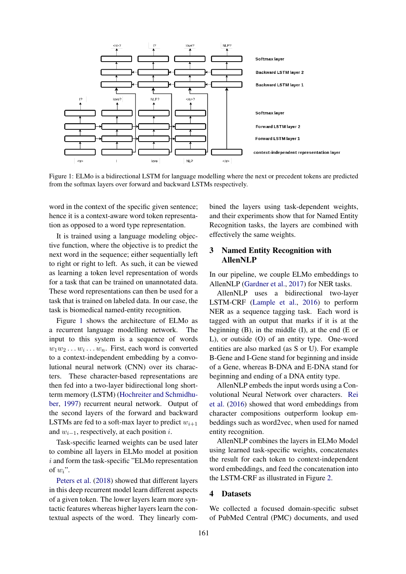

<span id="page-1-2"></span>Figure 1: ELMo is a bidirectional LSTM for language modelling where the next or precedent tokens are predicted from the softmax layers over forward and backward LSTMs respectively.

word in the context of the specific given sentence; hence it is a context-aware word token representation as opposed to a word type representation.

It is trained using a language modeling objective function, where the objective is to predict the next word in the sequence; either sequentially left to right or right to left. As such, it can be viewed as learning a token level representation of words for a task that can be trained on unannotated data. These word representations can then be used for a task that is trained on labeled data. In our case, the task is biomedical named-entity recognition.

Figure [1](#page-1-2) shows the architecture of ELMo as a recurrent language modelling network. The input to this system is a sequence of words  $w_1w_2 \ldots w_i \ldots w_n$ . First, each word is converted to a context-independent embedding by a convolutional neural network (CNN) over its characters. These character-based representations are then fed into a two-layer bidirectional long shortterm memory (LSTM) [\(Hochreiter and Schmidhu](#page-4-4)[ber,](#page-4-4) [1997\)](#page-4-4) recurrent neural network. Output of the second layers of the forward and backward LSTMs are fed to a soft-max layer to predict  $w_{i+1}$ and  $w_{i-1}$ , respectively, at each position *i*.

Task-specific learned weights can be used later to combine all layers in ELMo model at position i and form the task-specific "ELMo representation of  $w_i$ ".

[Peters et al.](#page-4-0) [\(2018\)](#page-4-0) showed that different layers in this deep recurrent model learn different aspects of a given token. The lower layers learn more syntactic features whereas higher layers learn the contextual aspects of the word. They linearly combined the layers using task-dependent weights, and their experiments show that for Named Entity Recognition tasks, the layers are combined with effectively the same weights.

## <span id="page-1-0"></span>3 Named Entity Recognition with AllenNLP

In our pipeline, we couple ELMo embeddings to AllenNLP [\(Gardner et al.,](#page-4-5) [2017\)](#page-4-5) for NER tasks.

AllenNLP uses a bidirectional two-layer LSTM-CRF [\(Lample et al.,](#page-4-6) [2016\)](#page-4-6) to perform NER as a sequence tagging task. Each word is tagged with an output that marks if it is at the beginning (B), in the middle (I), at the end (E or L), or outside (O) of an entity type. One-word entities are also marked (as S or U). For example B-Gene and I-Gene stand for beginning and inside of a Gene, whereas B-DNA and E-DNA stand for beginning and ending of a DNA entity type.

AllenNLP embeds the input words using a Convolutional Neural Network over characters. [Rei](#page-4-7) [et al.](#page-4-7) [\(2016\)](#page-4-7) showed that word embeddings from character compositions outperform lookup embeddings such as word2vec, when used for named entity recognition.

AllenNLP combines the layers in ELMo Model using learned task-specific weights, concatenates the result for each token to context-independent word embeddings, and feed the concatenation into the LSTM-CRF as illustrated in Figure [2.](#page-2-1)

## <span id="page-1-1"></span>4 Datasets

We collected a focused domain-specific subset of PubMed Central (PMC) documents, and used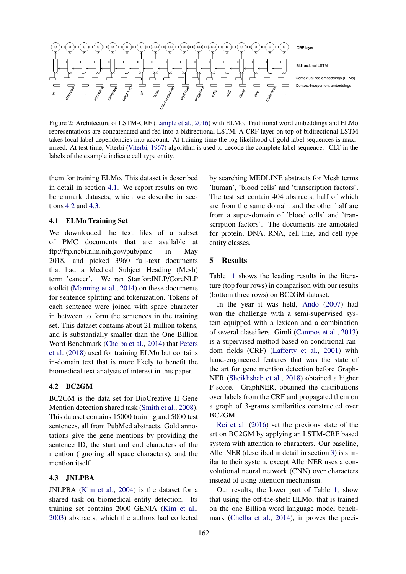

<span id="page-2-1"></span>Figure 2: Architecture of LSTM-CRF [\(Lample et al.,](#page-4-6) [2016\)](#page-4-6) with ELMo. Traditional word embeddings and ELMo representations are concatenated and fed into a bidirectional LSTM. A CRF layer on top of bidirectional LSTM takes local label dependencies into account. At training time the log likelihood of gold label sequences is maximized. At test time, Viterbi [\(Viterbi,](#page-4-8) [1967\)](#page-4-8) algorithm is used to decode the complete label sequence. -CLT in the labels of the example indicate cell\_type entity.

them for training ELMo. This dataset is described in detail in section [4.1.](#page-2-2) We report results on two benchmark datasets, which we describe in sections [4.2](#page-2-3) and [4.3.](#page-2-4)

## <span id="page-2-2"></span>4.1 ELMo Training Set

We downloaded the text files of a subset of PMC documents that are available at ftp://ftp.ncbi.nlm.nih.gov/pub/pmc in May 2018, and picked 3960 full-text documents that had a Medical Subject Heading (Mesh) term 'cancer'. We ran StanfordNLP/CoreNLP toolkit [\(Manning et al.,](#page-4-9) [2014\)](#page-4-9) on these documents for sentence splitting and tokenization. Tokens of each sentence were joined with space character in between to form the sentences in the training set. This dataset contains about 21 million tokens, and is substantially smaller than the One Billion Word Benchmark [\(Chelba et al.,](#page-4-1) [2014\)](#page-4-1) that [Peters](#page-4-0) [et al.](#page-4-0) [\(2018\)](#page-4-0) used for training ELMo but contains in-domain text that is more likely to benefit the biomedical text analysis of interest in this paper.

## <span id="page-2-3"></span>4.2 BC2GM

BC2GM is the data set for BioCreative II Gene Mention detection shared task [\(Smith et al.,](#page-4-10) [2008\)](#page-4-10). This dataset contains 15000 training and 5000 test sentences, all from PubMed abstracts. Gold annotations give the gene mentions by providing the sentence ID, the start and end characters of the mention (ignoring all space characters), and the mention itself.

### <span id="page-2-4"></span>4.3 JNLPBA

JNLPBA [\(Kim et al.,](#page-4-11) [2004\)](#page-4-11) is the dataset for a shared task on biomedical entity detection. Its training set contains 2000 GENIA [\(Kim et al.,](#page-4-12) [2003\)](#page-4-12) abstracts, which the authors had collected

by searching MEDLINE abstracts for Mesh terms 'human', 'blood cells' and 'transcription factors'. The test set contain 404 abstracts, half of which are from the same domain and the other half are from a super-domain of 'blood cells' and 'transcription factors'. The documents are annotated for protein, DNA, RNA, cell line, and cell type entity classes.

## <span id="page-2-0"></span>5 Results

Table [1](#page-3-0) shows the leading results in the literature (top four rows) in comparison with our results (bottom three rows) on BC2GM dataset.

In the year it was held, [Ando](#page-4-13) [\(2007\)](#page-4-13) had won the challenge with a semi-supervised system equipped with a lexicon and a combination of several classifiers. Gimli [\(Campos et al.,](#page-4-14) [2013\)](#page-4-14) is a supervised method based on conditional random fields (CRF) [\(Lafferty et al.,](#page-4-15) [2001\)](#page-4-15) with hand-engineered features that was the state of the art for gene mention detection before Graph-NER [\(Sheikhshab et al.,](#page-4-16) [2018\)](#page-4-16) obtained a higher F-score. GraphNER, obtained the distributions over labels from the CRF and propagated them on a graph of 3-grams similarities constructed over BC2GM.

[Rei et al.](#page-4-7) [\(2016\)](#page-4-7) set the previous state of the art on BC2GM by applying an LSTM-CRF based system with attention to characters. Our baseline, AllenNER (described in detail in section [3\)](#page-1-0) is similar to their system, except AllenNER uses a convolutional neural network (CNN) over characters instead of using attention mechanism.

Our results, the lower part of Table [1,](#page-3-0) show that using the off-the-shelf ELMo, that is trained on the one Billion word language model benchmark [\(Chelba et al.,](#page-4-1) [2014\)](#page-4-1), improves the preci-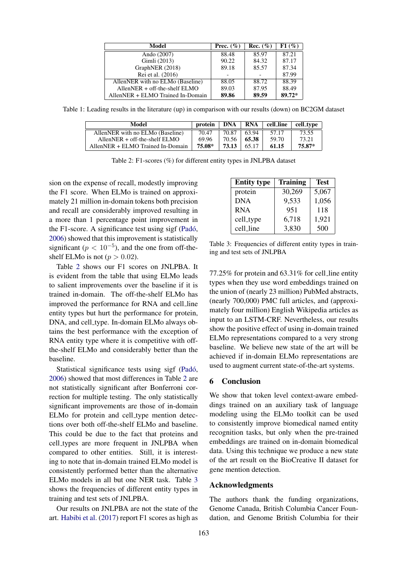| Model                             | Prec. $(\% )$ | Rec. $(\% )$ | F1(%)  |
|-----------------------------------|---------------|--------------|--------|
| Ando (2007)                       | 88.48         | 85.97        | 87.21  |
| Gimli (2013)                      | 90.22         | 84.32        | 87.17  |
| GraphNER (2018)                   | 89.18         | 85.57        | 87.34  |
| Rei et al. (2016)                 |               |              | 87.99  |
| AllenNER with no ELMo (Baseline)  | 88.05         | 88.72        | 88.39  |
| $AllenNER + off-the-shelf ELMO$   | 89.03         | 87.95        | 88.49  |
| AllenNER + ELMO Trained In-Domain | 89.86         | 89.59        | 89.72* |

Table 1: Leading results in the literature (up) in comparison with our results (down) on BC2GM dataset

| Model                             | protein | DNA   | <b>RNA</b> | cell_line | cell_type |
|-----------------------------------|---------|-------|------------|-----------|-----------|
| AllenNER with no ELMo (Baseline)  | 70.47   | 70.87 | 63.94      | 57.17     | 73.55     |
| Allen $NER + off-the-shelf ELMO$  | 69.96   | 70.56 | 65.38      | 59.70     | 73.21     |
| AllenNER + ELMO Trained In-Domain | 75.08*  | 73.13 | 65.17      | 61.15     | 75.87*    |

| Table 2: F1-scores (%) for different entity types in JNLPBA dataset |  |  |  |  |  |  |
|---------------------------------------------------------------------|--|--|--|--|--|--|
|---------------------------------------------------------------------|--|--|--|--|--|--|

sion on the expense of recall, modestly improving the F1 score. When ELMo is trained on approximately 21 million in-domain tokens both precision and recall are considerably improved resulting in a more than 1 percentage point improvement in the F1-score. A significance test using sigf (Padó, [2006\)](#page-4-17) showed that this improvement is statistically significant ( $p < 10^{-5}$ ), and the one from off-theshelf ELMo is not ( $p > 0.02$ ).

Table [2](#page-3-1) shows our F1 scores on JNLPBA. It is evident from the table that using ELMo leads to salient improvements over the baseline if it is trained in-domain. The off-the-shelf ELMo has improved the performance for RNA and cell line entity types but hurt the performance for protein, DNA, and cell type. In-domain ELMo always obtains the best performance with the exception of RNA entity type where it is competitive with offthe-shelf ELMo and considerably better than the baseline.

Statistical significance tests using sigf (Padó, [2006\)](#page-4-17) showed that most differences in Table [2](#page-3-1) are not statistically significant after Bonferroni correction for multiple testing. The only statistically significant improvements are those of in-domain ELMo for protein and cell type mention detections over both off-the-shelf ELMo and baseline. This could be due to the fact that proteins and cell types are more frequent in JNLPBA when compared to other entities. Still, it is interesting to note that in-domain trained ELMo model is consistently performed better than the alternative ELMo models in all but one NER task. Table [3](#page-3-2) shows the frequencies of different entity types in training and test sets of JNLPBA.

Our results on JNLPBA are not the state of the art. [Habibi et al.](#page-4-18) [\(2017\)](#page-4-18) report F1 scores as high as

<span id="page-3-2"></span><span id="page-3-1"></span><span id="page-3-0"></span>

| <b>Entity type</b> | <b>Training</b> | <b>Test</b> |
|--------------------|-----------------|-------------|
| protein            | 30,269          | 5,067       |
| <b>DNA</b>         | 9,533           | 1,056       |
| <b>RNA</b>         | 951             | 118         |
| cell_type          | 6,718           | 1,921       |
| cell_line          | 3,830           | 500         |

Table 3: Frequencies of different entity types in training and test sets of JNLPBA

77.25% for protein and 63.31% for cell line entity types when they use word embeddings trained on the union of (nearly 23 million) PubMed abstracts, (nearly 700,000) PMC full articles, and (approximately four million) English Wikipedia articles as input to an LSTM-CRF. Nevertheless, our results show the positive effect of using in-domain trained ELMo representations compared to a very strong baseline. We believe new state of the art will be achieved if in-domain ELMo representations are used to augment current state-of-the-art systems.

#### 6 Conclusion

We show that token level context-aware embeddings trained on an auxiliary task of language modeling using the ELMo toolkit can be used to consistently improve biomedical named entity recognition tasks, but only when the pre-trained embeddings are trained on in-domain biomedical data. Using this technique we produce a new state of the art result on the BioCreative II dataset for gene mention detection.

#### Acknowledgments

The authors thank the funding organizations, Genome Canada, British Columbia Cancer Foundation, and Genome British Columbia for their